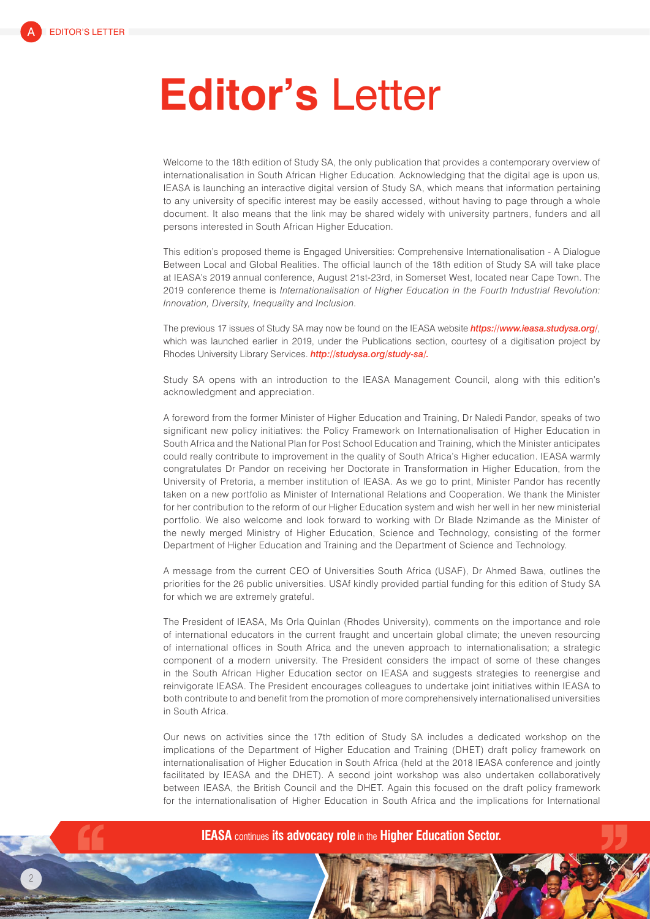## **Editor's** Letter

Welcome to the 18th edition of Study SA, the only publication that provides a contemporary overview of internationalisation in South African Higher Education. Acknowledging that the digital age is upon us, IEASA is launching an interactive digital version of Study SA, which means that information pertaining to any university of specific interest may be easily accessed, without having to page through a whole document. It also means that the link may be shared widely with university partners, funders and all persons interested in South African Higher Education.

This edition's proposed theme is Engaged Universities: Comprehensive Internationalisation - A Dialogue Between Local and Global Realities. The official launch of the 18th edition of Study SA will take place at IEASA's 2019 annual conference, August 21st-23rd, in Somerset West, located near Cape Town. The 2019 conference theme is *Internationalisation of Higher Education in the Fourth Industrial Revolution: Innovation, Diversity, Inequality and Inclusion*.

The previous 17 issues of Study SA may now be found on the IEASA website *https://www.ieasa.studysa.org/*, which was launched earlier in 2019, under the Publications section, courtesy of a digitisation project by Rhodes University Library Services. *http://studysa.org/study-sa/.*

Study SA opens with an introduction to the IEASA Management Council, along with this edition's acknowledgment and appreciation.

A foreword from the former Minister of Higher Education and Training, Dr Naledi Pandor, speaks of two significant new policy initiatives: the Policy Framework on Internationalisation of Higher Education in South Africa and the National Plan for Post School Education and Training, which the Minister anticipates could really contribute to improvement in the quality of South Africa's Higher education. IEASA warmly congratulates Dr Pandor on receiving her Doctorate in Transformation in Higher Education, from the University of Pretoria, a member institution of IEASA. As we go to print, Minister Pandor has recently taken on a new portfolio as Minister of International Relations and Cooperation. We thank the Minister for her contribution to the reform of our Higher Education system and wish her well in her new ministerial portfolio. We also welcome and look forward to working with Dr Blade Nzimande as the Minister of the newly merged Ministry of Higher Education, Science and Technology, consisting of the former Department of Higher Education and Training and the Department of Science and Technology.

A message from the current CEO of Universities South Africa (USAF), Dr Ahmed Bawa, outlines the priorities for the 26 public universities. USAf kindly provided partial funding for this edition of Study SA for which we are extremely grateful.

The President of IEASA, Ms Orla Quinlan (Rhodes University), comments on the importance and role of international educators in the current fraught and uncertain global climate; the uneven resourcing of international offices in South Africa and the uneven approach to internationalisation; a strategic component of a modern university. The President considers the impact of some of these changes in the South African Higher Education sector on IEASA and suggests strategies to reenergise and reinvigorate IEASA. The President encourages colleagues to undertake joint initiatives within IEASA to both contribute to and benefit from the promotion of more comprehensively internationalised universities in South Africa.

Our news on activities since the 17th edition of Study SA includes a dedicated workshop on the implications of the Department of Higher Education and Training (DHET) draft policy framework on internationalisation of Higher Education in South Africa (held at the 2018 IEASA conference and jointly facilitated by IEASA and the DHET). A second joint workshop was also undertaken collaboratively between IEASA, the British Council and the DHET. Again this focused on the draft policy framework for the internationalisation of Higher Education in South Africa and the implications for International



**IEASA** continues **its advocacy role** in the **Higher Education Sector.**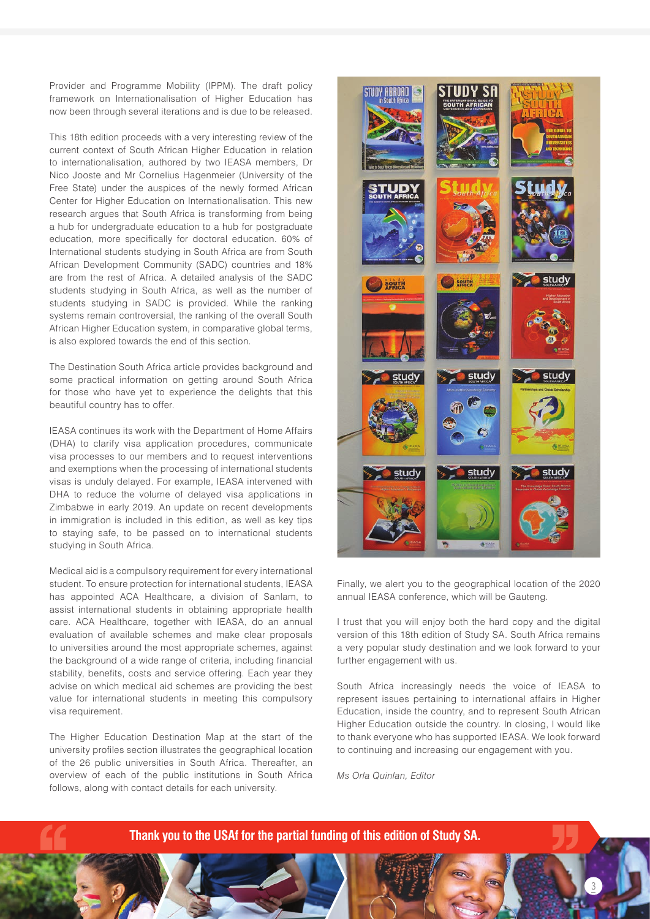Provider and Programme Mobility (IPPM). The draft policy framework on Internationalisation of Higher Education has now been through several iterations and is due to be released.

This 18th edition proceeds with a very interesting review of the current context of South African Higher Education in relation to internationalisation, authored by two IEASA members, Dr Nico Jooste and Mr Cornelius Hagenmeier (University of the Free State) under the auspices of the newly formed African Center for Higher Education on Internationalisation. This new research argues that South Africa is transforming from being a hub for undergraduate education to a hub for postgraduate education, more specifically for doctoral education. 60% of International students studying in South Africa are from South African Development Community (SADC) countries and 18% are from the rest of Africa. A detailed analysis of the SADC students studying in South Africa, as well as the number of students studying in SADC is provided. While the ranking systems remain controversial, the ranking of the overall South African Higher Education system, in comparative global terms, is also explored towards the end of this section.

The Destination South Africa article provides background and some practical information on getting around South Africa for those who have yet to experience the delights that this beautiful country has to offer.

IEASA continues its work with the Department of Home Affairs (DHA) to clarify visa application procedures, communicate visa processes to our members and to request interventions and exemptions when the processing of international students visas is unduly delayed. For example, IEASA intervened with DHA to reduce the volume of delayed visa applications in Zimbabwe in early 2019. An update on recent developments in immigration is included in this edition, as well as key tips to staying safe, to be passed on to international students studying in South Africa.

Medical aid is a compulsory requirement for every international student. To ensure protection for international students, IEASA has appointed ACA Healthcare, a division of Sanlam, to assist international students in obtaining appropriate health care. ACA Healthcare, together with IEASA, do an annual evaluation of available schemes and make clear proposals to universities around the most appropriate schemes, against the background of a wide range of criteria, including financial stability, benefits, costs and service offering. Each year they advise on which medical aid schemes are providing the best value for international students in meeting this compulsory visa requirement.

The Higher Education Destination Map at the start of the university profiles section illustrates the geographical location of the 26 public universities in South Africa. Thereafter, an overview of each of the public institutions in South Africa follows, along with contact details for each university.



Finally, we alert you to the geographical location of the 2020 annual IEASA conference, which will be Gauteng.

I trust that you will enjoy both the hard copy and the digital version of this 18th edition of Study SA. South Africa remains a very popular study destination and we look forward to your further engagement with us.

South Africa increasingly needs the voice of IEASA to represent issues pertaining to international affairs in Higher Education, inside the country, and to represent South African Higher Education outside the country. In closing, I would like to thank everyone who has supported IEASA. We look forward to continuing and increasing our engagement with you.

3

*Ms Orla Quinlan, Editor*